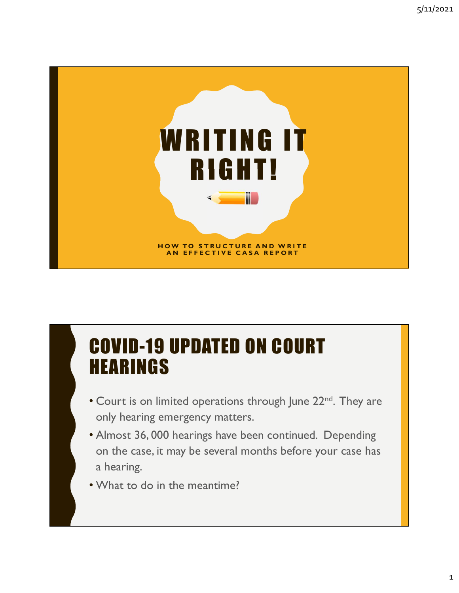

#### COVID-19 UPDATED ON COURT HEARINGS

- Court is on limited operations through June 22<sup>nd</sup>. They are only hearing emergency matters.
- Almost 36, 000 hearings have been continued. Depending on the case, it may be several months before your case has a hearing.
- What to do in the meantime?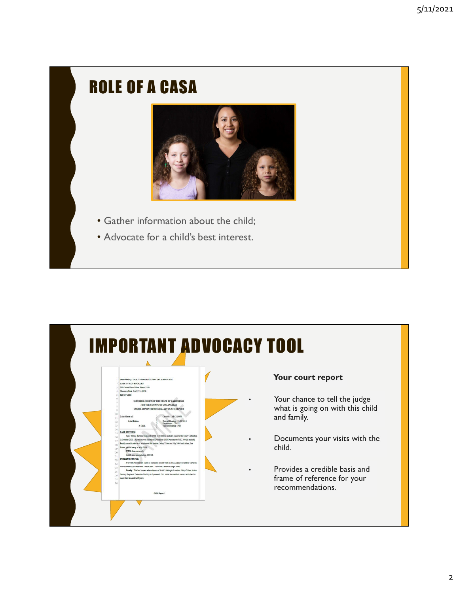#### ROLE OF A CASA



- Gather information about the child;
- Advocate for a child's best interest.

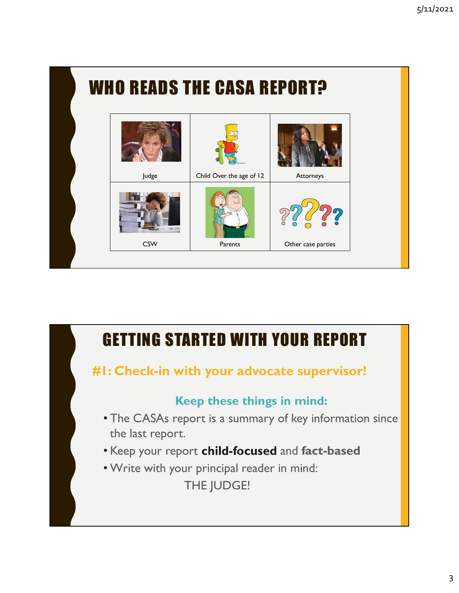

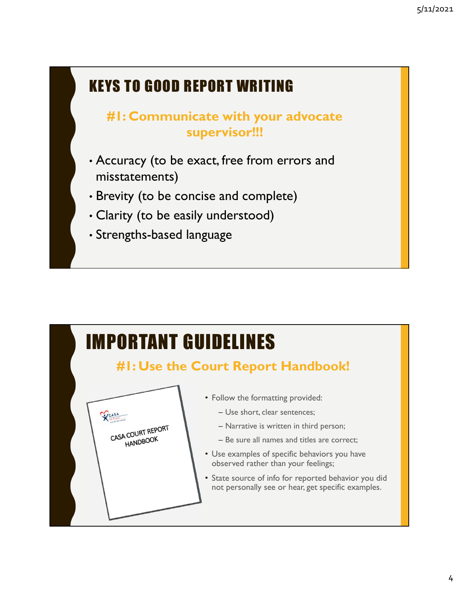#### KEYS TO GOOD REPORT WRITING

#### #1: Communicate with your advocate supervisor!!!

- Accuracy (to be exact, free from errors and misstatements)
- Brevity (to be concise and complete)
- Clarity (to be easily understood)
- Strengths-based language

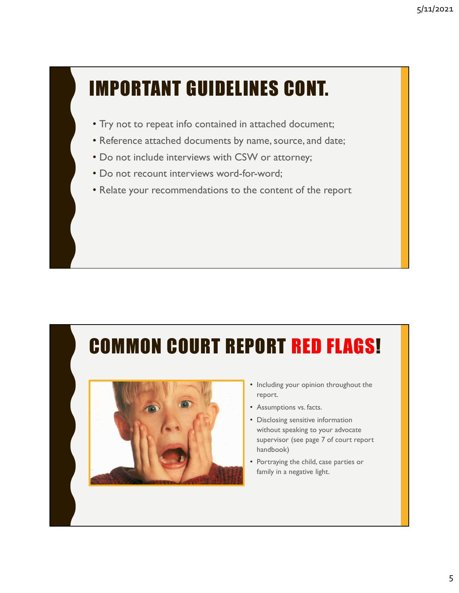#### IMPORTANT GUIDELINES CONT.

- Try not to repeat info contained in attached document;
- Reference attached documents by name, source, and date;
- Do not include interviews with CSW or attorney;
- Do not recount interviews word-for-word;
- Relate your recommendations to the content of the report

#### COMMON COURT REPORT RED FLAGS!



- Including your opinion throughout the report.
- Assumptions vs. facts.
- Disclosing sensitive information without speaking to your advocate supervisor (see page 7 of court report handbook)
- Portraying the child, case parties or family in a negative light.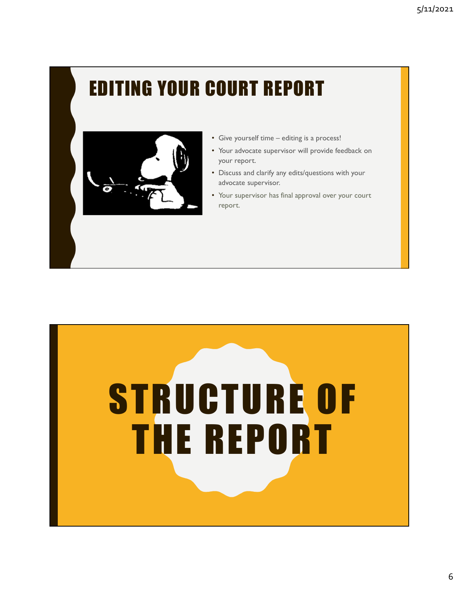#### EDITING YOUR COURT REPORT



- 
- <sup>5/11/2021</sup><br>• Give yourself time editing is a process!<br>• Your advocate supervisor will provide feedback on<br>• Discuss and clarify any edits/questions with your<br>advocate supervisor. your report.
- Discuss and clarify any edits/questions with your advocate supervisor.
- Your supervisor has final approval over your court report.

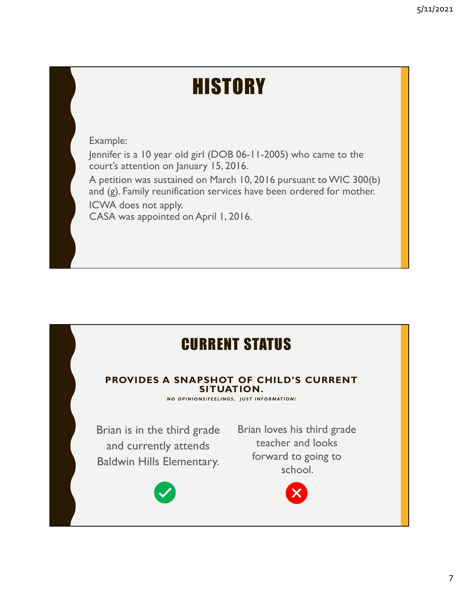#### **HISTORY**

Example:

Jennifer is a 10 year old girl (DOB 06-11-2005) who came to the court's attention on January 15, 2016.

A petition was sustained on March 10, 2016 pursuant to WIC 300(b) and (g). Family reunification services have been ordered for mother. ICWA does not apply.

CASA was appointed on April 1, 2016.

#### CURRENT STATUS

## PROVIDES A SNAPSHOT OF CHILD'S CURRENT SITUATION. PPY.<br>
ELECTRICITY OF THE STATUS<br>
SITUATION.<br>
NO OPINIONSFELLINGS, JUST INFORMATION!<br>
NO OPINIONSFELLINGS, JUST INFORMATION!<br>
Chird grade Brian loves his third grade<br>
V attends teacher and looks

Brian is in the third grade and currently attends Baldwin Hills Elementary.



Brian loves his third grade teacher and looks forward to going to school.

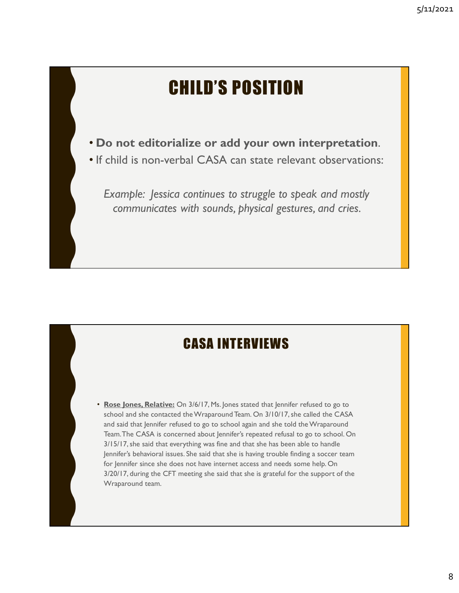#### CHILD'S POSITION

- Do not editorialize or add your own interpretation.
- If child is non-verbal CASA can state relevant observations:

Example: Jessica continues to struggle to speak and mostly communicates with sounds, physical gestures, and cries.

#### CASA INTERVIEWS

• Rose Jones, Relative: On 3/6/17, Ms. Jones stated that Jennifer refused to go to school and she contacted the Wraparound Team. On 3/10/17, she called the CASA and said that Jennifer refused to go to school again and she told the Wraparound Team. The CASA is concerned about Jennifer's repeated refusal to go to school. On 3/15/17, she said that everything was fine and that she has been able to handle Jennifer's behavioral issues. She said that she is having trouble finding a soccer team for Jennifer since she does not have internet access and needs some help. On 3/20/17, during the CFT meeting she said that she is grateful for the support of the Wraparound team.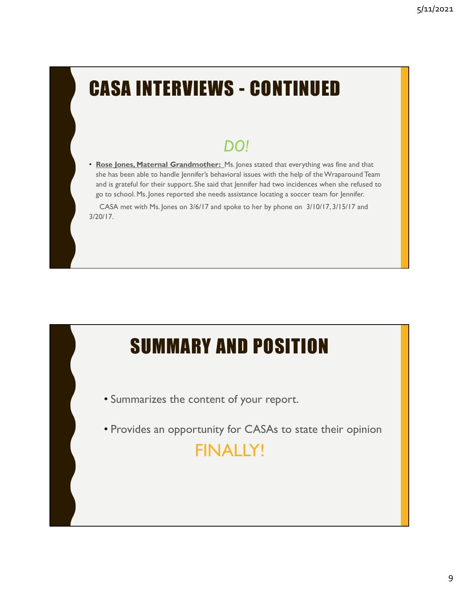# **CASA INTERVIEWS - CONTINUED**

#### DO!

• Rose Jones, Maternal Grandmother: Ms. Jones stated that everything was fine and that she has been able to handle Jennifer's behavioral issues with the help of the Wraparound Team and is grateful for their support. She said that Jennifer had two incidences when she refused to go to school. Ms. Jones reported she needs assistance locating a soccer team for Jennifer.

CASA met with Ms. Jones on 3/6/17 and spoke to her by phone on 3/10/17, 3/15/17 and 3/20/17.

#### SUMMARY AND POSITION

- Summarizes the content of your report.
- Provides an opportunity for CASAs to state their opinion

#### FINALLY!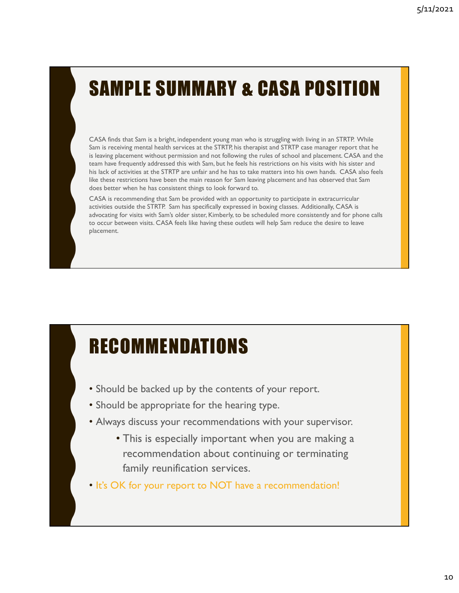#### SAMPLE SUMMARY & CASA POSITION

CASA finds that Sam is a bright, independent young man who is struggling with living in an STRTP. While Sam is receiving mental health services at the STRTP, his therapist and STRTP case manager report that he is leaving placement without permission and not following the rules of school and placement. CASA and the team have frequently addressed this with Sam, but he feels his restrictions on his visits with his sister and his lack of activities at the STRTP are unfair and he has to take matters into his own hands. CASA also feels like these restrictions have been the main reason for Sam leaving placement and has observed that Sam does better when he has consistent things to look forward to.

CASA is recommending that Sam be provided with an opportunity to participate in extracurricular activities outside the STRTP. Sam has specifically expressed in boxing classes. Additionally, CASA is advocating for visits with Sam's older sister, Kimberly, to be scheduled more consistently and for phone calls to occur between visits. CASA feels like having these outlets will help Sam reduce the desire to leave placement.

#### RECOMMENDATIONS

- Should be backed up by the contents of your report.
- Should be appropriate for the hearing type.
- Always discuss your recommendations with your supervisor.
	- This is especially important when you are making a recommendation about continuing or terminating family reunification services.
- It's OK for your report to NOT have a recommendation!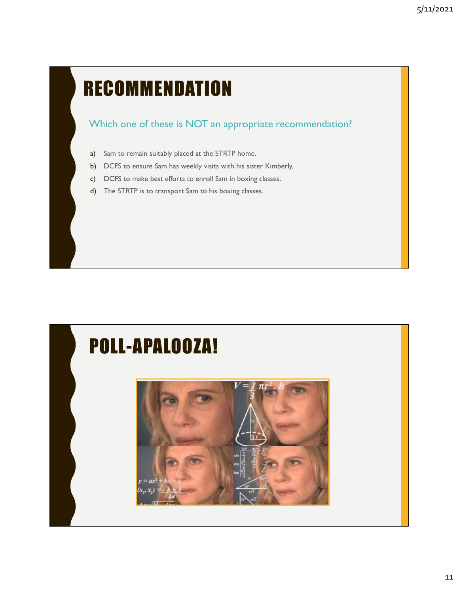#### **RECOMMENDATION**

#### Which one of these is NOT an appropriate recommendation?

- a) Sam to remain suitably placed at the STRTP home.
- b) DCFS to ensure Sam has weekly visits with his sister Kimberly.
- c) DCFS to make best efforts to enroll Sam in boxing classes.
- d) The STRTP is to transport Sam to his boxing classes.